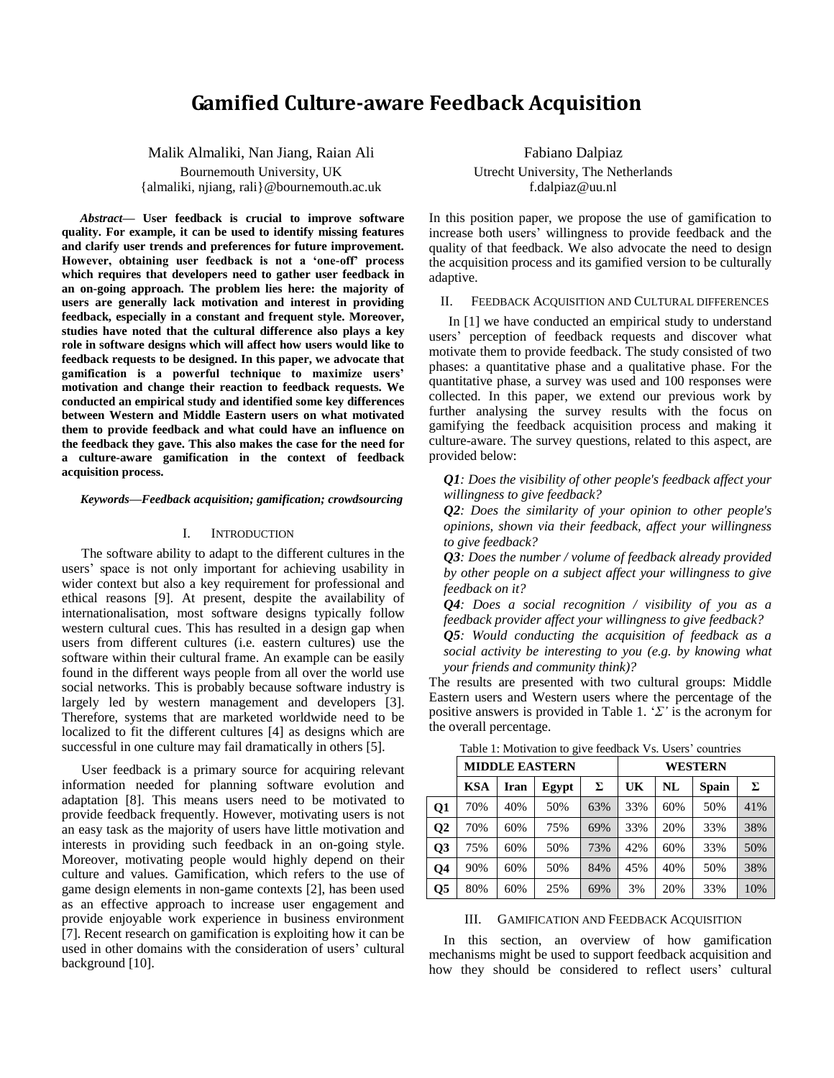# **Gamified Culture-aware Feedback Acquisition**

Malik Almaliki, Nan Jiang, Raian Ali Bournemouth University, UK {almaliki, njiang, rali}@bournemouth.ac.uk

*Abstract***— User feedback is crucial to improve software quality. For example, it can be used to identify missing features and clarify user trends and preferences for future improvement. However, obtaining user feedback is not a 'one-off' process which requires that developers need to gather user feedback in an on-going approach. The problem lies here: the majority of users are generally lack motivation and interest in providing feedback, especially in a constant and frequent style. Moreover, studies have noted that the cultural difference also plays a key role in software designs which will affect how users would like to feedback requests to be designed. In this paper, we advocate that gamification is a powerful technique to maximize users' motivation and change their reaction to feedback requests. We conducted an empirical study and identified some key differences between Western and Middle Eastern users on what motivated them to provide feedback and what could have an influence on the feedback they gave. This also makes the case for the need for a culture-aware gamification in the context of feedback acquisition process.**

*Keywords—Feedback acquisition; gamification; crowdsourcing*

# I. INTRODUCTION

The software ability to adapt to the different cultures in the users' space is not only important for achieving usability in wider context but also a key requirement for professional and ethical reasons [9]. At present, despite the availability of internationalisation, most software designs typically follow western cultural cues. This has resulted in a design gap when users from different cultures (i.e. eastern cultures) use the software within their cultural frame. An example can be easily found in the different ways people from all over the world use social networks. This is probably because software industry is largely led by western management and developers [3]. Therefore, systems that are marketed worldwide need to be localized to fit the different cultures [4] as designs which are successful in one culture may fail dramatically in others [5].

User feedback is a primary source for acquiring relevant information needed for planning software evolution and adaptation [8]. This means users need to be motivated to provide feedback frequently. However, motivating users is not an easy task as the majority of users have little motivation and interests in providing such feedback in an on-going style. Moreover, motivating people would highly depend on their culture and values. Gamification, which refers to the use of game design elements in non-game contexts [2], has been used as an effective approach to increase user engagement and provide enjoyable work experience in business environment [7]. Recent research on gamification is exploiting how it can be used in other domains with the consideration of users' cultural background [10].

Fabiano Dalpiaz Utrecht University, The Netherlands f.dalpiaz@uu.nl

In this position paper, we propose the use of gamification to increase both users" willingness to provide feedback and the quality of that feedback. We also advocate the need to design the acquisition process and its gamified version to be culturally adaptive.

II. FEEDBACK ACQUISITION AND CULTURAL DIFFERENCES

In [1] we have conducted an empirical study to understand users" perception of feedback requests and discover what motivate them to provide feedback. The study consisted of two phases: a quantitative phase and a qualitative phase. For the quantitative phase, a survey was used and 100 responses were collected. In this paper, we extend our previous work by further analysing the survey results with the focus on gamifying the feedback acquisition process and making it culture-aware. The survey questions, related to this aspect, are provided below:

*Q1: Does the visibility of other people's feedback affect your willingness to give feedback?*

*Q2: Does the similarity of your opinion to other people's opinions, shown via their feedback, affect your willingness to give feedback?*

*Q3: Does the number / volume of feedback already provided by other people on a subject affect your willingness to give feedback on it?*

*Q4: Does a social recognition / visibility of you as a feedback provider affect your willingness to give feedback?* 

*Q5: Would conducting the acquisition of feedback as a social activity be interesting to you (e.g. by knowing what your friends and community think)?* 

The results are presented with two cultural groups: Middle Eastern users and Western users where the percentage of the positive answers is provided in Table 1. "*Σ'* is the acronym for the overall percentage.

|                | <b>MIDDLE EASTERN</b> |      |       |     | <b>WESTERN</b> |     |              |     |
|----------------|-----------------------|------|-------|-----|----------------|-----|--------------|-----|
|                | <b>KSA</b>            | Iran | Egypt | Σ   | UK             | NL  | <b>Spain</b> | Σ   |
| <b>Q1</b>      | 70%                   | 40%  | 50%   | 63% | 33%            | 60% | 50%          | 41% |
| Q <sub>2</sub> | 70%                   | 60%  | 75%   | 69% | 33%            | 20% | 33%          | 38% |
| Q3             | 75%                   | 60%  | 50%   | 73% | 42%            | 60% | 33%          | 50% |
| Q4             | 90%                   | 60%  | 50%   | 84% | 45%            | 40% | 50%          | 38% |
| Q5             | 80%                   | 60%  | 25%   | 69% | 3%             | 20% | 33%          | 10% |

Table 1: Motivation to give feedback Vs. Users' countries

III. GAMIFICATION AND FEEDBACK ACQUISITION

In this section, an overview of how gamification mechanisms might be used to support feedback acquisition and how they should be considered to reflect users' cultural